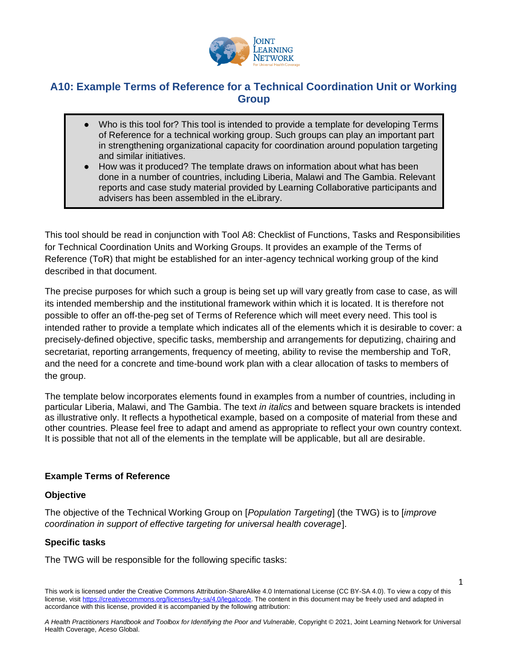

# **A10: Example Terms of Reference for a Technical Coordination Unit or Working Group**

- Who is this tool for? This tool is intended to provide a template for developing Terms of Reference for a technical working group. Such groups can play an important part in strengthening organizational capacity for coordination around population targeting and similar initiatives.
- How was it produced? The template draws on information about what has been done in a number of countries, including Liberia, Malawi and The Gambia. Relevant reports and case study material provided by Learning Collaborative participants and advisers has been assembled in the eLibrary.

This tool should be read in conjunction with Tool A8: Checklist of Functions, Tasks and Responsibilities for Technical Coordination Units and Working Groups. It provides an example of the Terms of Reference (ToR) that might be established for an inter-agency technical working group of the kind described in that document.

The precise purposes for which such a group is being set up will vary greatly from case to case, as will its intended membership and the institutional framework within which it is located. It is therefore not possible to offer an off-the-peg set of Terms of Reference which will meet every need. This tool is intended rather to provide a template which indicates all of the elements which it is desirable to cover: a precisely-defined objective, specific tasks, membership and arrangements for deputizing, chairing and secretariat, reporting arrangements, frequency of meeting, ability to revise the membership and ToR, and the need for a concrete and time-bound work plan with a clear allocation of tasks to members of the group.

The template below incorporates elements found in examples from a number of countries, including in particular Liberia, Malawi, and The Gambia. The text *in italics* and between square brackets is intended as illustrative only. It reflects a hypothetical example, based on a composite of material from these and other countries. Please feel free to adapt and amend as appropriate to reflect your own country context. It is possible that not all of the elements in the template will be applicable, but all are desirable.

# **Example Terms of Reference**

### **Objective**

The objective of the Technical Working Group on [*Population Targeting*] (the TWG) is to [*improve coordination in support of effective targeting for universal health coverage*].

# **Specific tasks**

The TWG will be responsible for the following specific tasks:

1

This work is licensed under the Creative Commons Attribution-ShareAlike 4.0 International License (CC BY-SA 4.0). To view a copy of this license, visi[t https://creativecommons.org/licenses/by-sa/4.0/legalcode.](https://creativecommons.org/licenses/by-sa/4.0/legalcode) The content in this document may be freely used and adapted in accordance with this license, provided it is accompanied by the following attribution: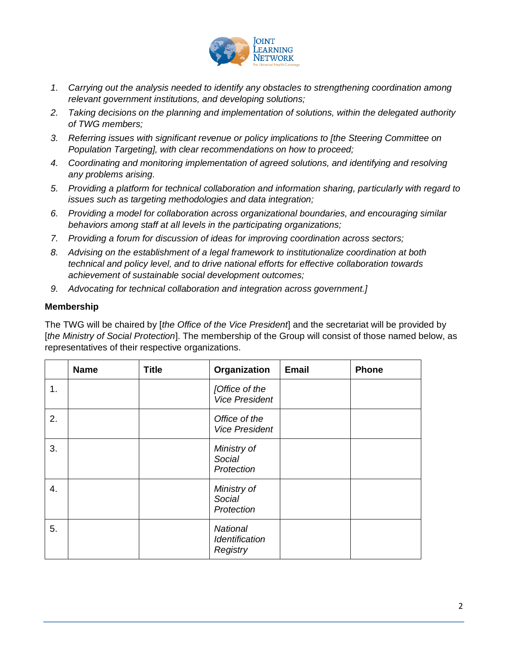

- *1. Carrying out the analysis needed to identify any obstacles to strengthening coordination among relevant government institutions, and developing solutions;*
- *2. Taking decisions on the planning and implementation of solutions, within the delegated authority of TWG members;*
- *3. Referring issues with significant revenue or policy implications to [the Steering Committee on Population Targeting], with clear recommendations on how to proceed;*
- *4. Coordinating and monitoring implementation of agreed solutions, and identifying and resolving any problems arising.*
- *5. Providing a platform for technical collaboration and information sharing, particularly with regard to issues such as targeting methodologies and data integration;*
- *6. Providing a model for collaboration across organizational boundaries, and encouraging similar behaviors among staff at all levels in the participating organizations;*
- *7. Providing a forum for discussion of ideas for improving coordination across sectors;*
- *8. Advising on the establishment of a legal framework to institutionalize coordination at both technical and policy level, and to drive national efforts for effective collaboration towards achievement of sustainable social development outcomes;*
- *9. Advocating for technical collaboration and integration across government.]*

## **Membership**

The TWG will be chaired by [*the Office of the Vice President*] and the secretariat will be provided by [*the Ministry of Social Protection*]. The membership of the Group will consist of those named below, as representatives of their respective organizations.

|    | <b>Name</b> | <b>Title</b> | Organization                                  | <b>Email</b> | <b>Phone</b> |
|----|-------------|--------------|-----------------------------------------------|--------------|--------------|
| 1. |             |              | [Office of the<br><b>Vice President</b>       |              |              |
| 2. |             |              | Office of the<br><b>Vice President</b>        |              |              |
| 3. |             |              | Ministry of<br>Social<br>Protection           |              |              |
| 4. |             |              | Ministry of<br>Social<br>Protection           |              |              |
| 5. |             |              | <b>National</b><br>Identification<br>Registry |              |              |